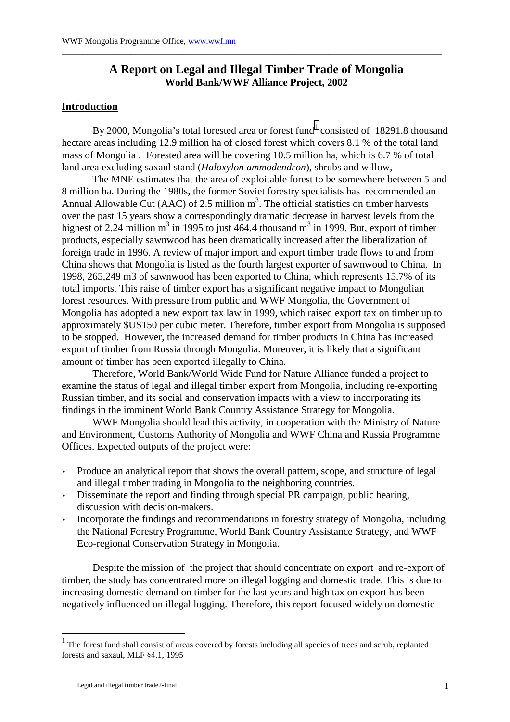# **A Report on Legal and Illegal Timber Trade of Mongolia World Bank/WWF Alliance Project, 2002**

\_\_\_\_\_\_\_\_\_\_\_\_\_\_\_\_\_\_\_\_\_\_\_\_\_\_\_\_\_\_\_\_\_\_\_\_\_\_\_\_\_\_\_\_\_\_\_\_\_\_\_\_\_\_\_\_\_\_\_\_\_\_\_\_\_\_\_\_\_\_\_\_\_\_\_\_\_\_\_\_\_\_\_\_\_\_\_\_

# **Introduction**

By 2000, Mongolia's total forested area or forest fund<sup>1</sup> consisted of 18291.8 thousand hectare areas including 12.9 million ha of closed forest which covers 8.1 % of the total land mass of Mongolia . Forested area will be covering 10.5 million ha, which is 6.7 % of total land area excluding saxaul stand (*Haloxylon ammodendron*), shrubs and willow,

The MNE estimates that the area of exploitable forest to be somewhere between 5 and 8 million ha. During the 1980s, the former Soviet forestry specialists has recommended an Annual Allowable Cut (AAC) of 2.5 million  $m<sup>3</sup>$ . The official statistics on timber harvests over the past 15 years show a correspondingly dramatic decrease in harvest levels from the highest of 2.24 million  $m^3$  in 1995 to just 464.4 thousand  $m^3$  in 1999. But, export of timber products, especially sawnwood has been dramatically increased after the liberalization of foreign trade in 1996. A review of major import and export timber trade flows to and from China shows that Mongolia is listed as the fourth largest exporter of sawnwood to China. In 1998, 265,249 m3 of sawnwood has been exported to China, which represents 15.7% of its total imports. This raise of timber export has a significant negative impact to Mongolian forest resources. With pressure from public and WWF Mongolia, the Government of Mongolia has adopted a new export tax law in 1999, which raised export tax on timber up to approximately \$US150 per cubic meter. Therefore, timber export from Mongolia is supposed to be stopped. However, the increased demand for timber products in China has increased export of timber from Russia through Mongolia. Moreover, it is likely that a significant amount of timber has been exported illegally to China.

Therefore, World Bank/World Wide Fund for Nature Alliance funded a project to examine the status of legal and illegal timber export from Mongolia, including re-exporting Russian timber, and its social and conservation impacts with a view to incorporating its findings in the imminent World Bank Country Assistance Strategy for Mongolia.

WWF Mongolia should lead this activity, in cooperation with the Ministry of Nature and Environment, Customs Authority of Mongolia and WWF China and Russia Programme Offices. Expected outputs of the project were:

- Produce an analytical report that shows the overall pattern, scope, and structure of legal and illegal timber trading in Mongolia to the neighboring countries.
- Disseminate the report and finding through special PR campaign, public hearing, discussion with decision-makers.
- Incorporate the findings and recommendations in forestry strategy of Mongolia, including the National Forestry Programme, World Bank Country Assistance Strategy, and WWF Eco-regional Conservation Strategy in Mongolia.

 Despite the mission of the project that should concentrate on export and re-export of timber, the study has concentrated more on illegal logging and domestic trade. This is due to increasing domestic demand on timber for the last years and high tax on export has been negatively influenced on illegal logging. Therefore, this report focused widely on domestic

 $\overline{a}$ 

 $<sup>1</sup>$  The forest fund shall consist of areas covered by forests including all species of trees and scrub, replanted</sup> forests and saxaul, MLF §4.1, 1995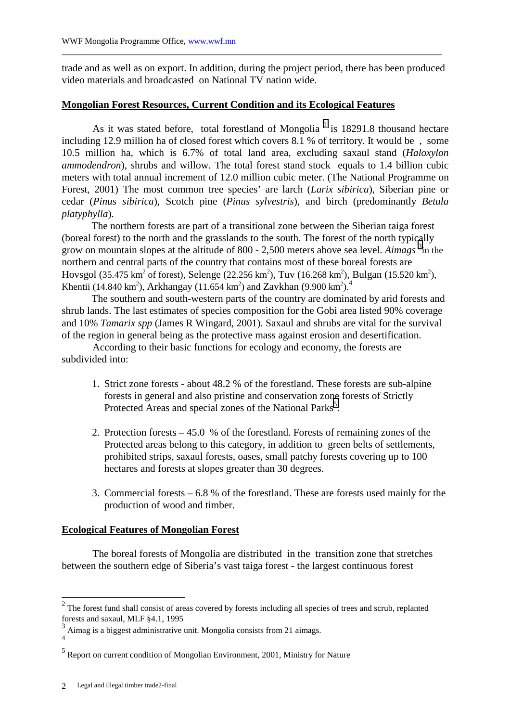trade and as well as on export. In addition, during the project period, there has been produced video materials and broadcasted on National TV nation wide.

\_\_\_\_\_\_\_\_\_\_\_\_\_\_\_\_\_\_\_\_\_\_\_\_\_\_\_\_\_\_\_\_\_\_\_\_\_\_\_\_\_\_\_\_\_\_\_\_\_\_\_\_\_\_\_\_\_\_\_\_\_\_\_\_\_\_\_\_\_\_\_\_\_\_\_\_\_\_\_\_\_\_\_\_\_\_\_\_

# **Mongolian Forest Resources, Current Condition and its Ecological Features**

As it was stated before, total forestland of Mongolia  $2$  is 18291.8 thousand hectare including 12.9 million ha of closed forest which covers 8.1 % of territory. It would be , some 10.5 million ha, which is 6.7% of total land area, excluding saxaul stand (*Haloxylon ammodendron*), shrubs and willow. The total forest stand stock equals to 1.4 billion cubic meters with total annual increment of 12.0 million cubic meter. (The National Programme on Forest, 2001) The most common tree species' are larch (*Larix sibirica*), Siberian pine or cedar (*Pinus sibirica*), Scotch pine (*Pinus sylvestris*), and birch (predominantly *Betula platyphylla*).

The northern forests are part of a transitional zone between the Siberian taiga forest (boreal forest) to the north and the grasslands to the south. The forest of the north typically grow on mountain slopes at the altitude of 800 - 2,500 meters above sea level. *Aimags* <sup>3</sup>in the northern and central parts of the country that contains most of these boreal forests are Hovsgol (35.475 km<sup>2</sup> of forest), Selenge (22.256 km<sup>2</sup>), Tuv (16.268 km<sup>2</sup>), Bulgan (15.520 km<sup>2</sup>), Khentii (14.840 km<sup>2</sup>), Arkhangay (11.654 km<sup>2</sup>) and Zavkhan (9.900 km<sup>2</sup>).<sup>4</sup>

The southern and south-western parts of the country are dominated by arid forests and shrub lands. The last estimates of species composition for the Gobi area listed 90% coverage and 10% *Tamarix spp* (James R Wingard, 2001). Saxaul and shrubs are vital for the survival of the region in general being as the protective mass against erosion and desertification.

 According to their basic functions for ecology and economy, the forests are subdivided into:

- 1. Strict zone forests about 48.2 % of the forestland. These forests are sub-alpine forests in general and also pristine and conservation zone forests of Strictly Protected Areas and special zones of the National Parks<sup>5</sup>.
- 2. Protection forests 45.0 % of the forestland. Forests of remaining zones of the Protected areas belong to this category, in addition to green belts of settlements, prohibited strips, saxaul forests, oases, small patchy forests covering up to 100 hectares and forests at slopes greater than 30 degrees.
- 3. Commercial forests 6.8 % of the forestland. These are forests used mainly for the production of wood and timber.

# **Ecological Features of Mongolian Forest**

The boreal forests of Mongolia are distributed in the transition zone that stretches between the southern edge of Siberia's vast taiga forest - the largest continuous forest

 $2<sup>2</sup>$  The forest fund shall consist of areas covered by forests including all species of trees and scrub, replanted forests and saxaul, MLF §4.1, 1995

 $3$  Aimag is a biggest administrative unit. Mongolia consists from 21 aimags. 4

<sup>&</sup>lt;sup>5</sup> Report on current condition of Mongolian Environment, 2001, Ministry for Nature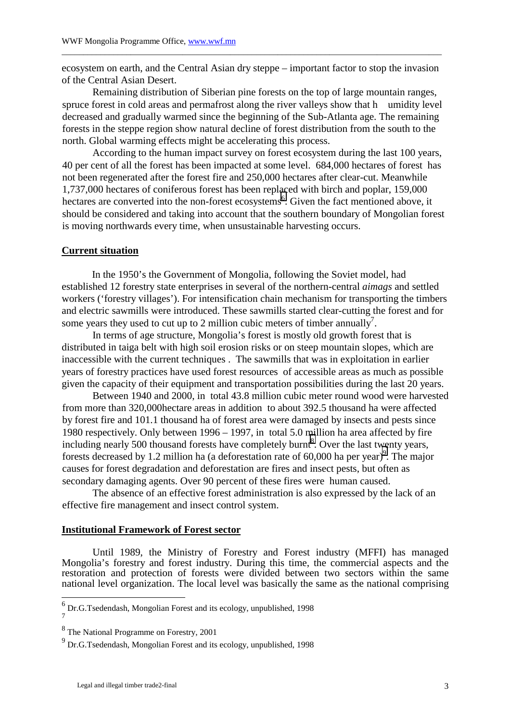ecosystem on earth, and the Central Asian dry steppe – important factor to stop the invasion of the Central Asian Desert.

\_\_\_\_\_\_\_\_\_\_\_\_\_\_\_\_\_\_\_\_\_\_\_\_\_\_\_\_\_\_\_\_\_\_\_\_\_\_\_\_\_\_\_\_\_\_\_\_\_\_\_\_\_\_\_\_\_\_\_\_\_\_\_\_\_\_\_\_\_\_\_\_\_\_\_\_\_\_\_\_\_\_\_\_\_\_\_\_

Remaining distribution of Siberian pine forests on the top of large mountain ranges, spruce forest in cold areas and permafrost along the river valleys show that h umidity level decreased and gradually warmed since the beginning of the Sub-Atlanta age. The remaining forests in the steppe region show natural decline of forest distribution from the south to the north. Global warming effects might be accelerating this process.

According to the human impact survey on forest ecosystem during the last 100 years, 40 per cent of all the forest has been impacted at some level. 684,000 hectares of forest has not been regenerated after the forest fire and 250,000 hectares after clear-cut. Meanwhile 1,737,000 hectares of coniferous forest has been replaced with birch and poplar, 159,000 hectares are converted into the non-forest ecosystems<sup>6</sup>. Given the fact mentioned above, it should be considered and taking into account that the southern boundary of Mongolian forest is moving northwards every time, when unsustainable harvesting occurs.

#### **Current situation**

In the 1950's the Government of Mongolia, following the Soviet model, had established 12 forestry state enterprises in several of the northern-central *aimags* and settled workers ('forestry villages'). For intensification chain mechanism for transporting the timbers and electric sawmills were introduced. These sawmills started clear-cutting the forest and for some years they used to cut up to 2 million cubic meters of timber annually<sup>7</sup>.

 In terms of age structure, Mongolia's forest is mostly old growth forest that is distributed in taiga belt with high soil erosion risks or on steep mountain slopes, which are inaccessible with the current techniques . The sawmills that was in exploitation in earlier years of forestry practices have used forest resources of accessible areas as much as possible given the capacity of their equipment and transportation possibilities during the last 20 years.

Between 1940 and 2000, in total 43.8 million cubic meter round wood were harvested from more than 320,000hectare areas in addition to about 392.5 thousand ha were affected by forest fire and 101.1 thousand ha of forest area were damaged by insects and pests since 1980 respectively. Only between 1996 – 1997, in total 5.0 million ha area affected by fire including nearly 500 thousand forests have completely burnt<sup>8</sup>. Over the last twenty years, forests decreased by 1.2 million ha (a deforestation rate of  $60,000$  ha per year)<sup>9</sup>. The major causes for forest degradation and deforestation are fires and insect pests, but often as secondary damaging agents. Over 90 percent of these fires were human caused.

The absence of an effective forest administration is also expressed by the lack of an effective fire management and insect control system.

# **Institutional Framework of Forest sector**

Until 1989, the Ministry of Forestry and Forest industry (MFFI) has managed Mongolia's forestry and forest industry. During this time, the commercial aspects and the restoration and protection of forests were divided between two sectors within the same national level organization. The local level was basically the same as the national comprising

<sup>&</sup>lt;sup>6</sup> Dr.G.Tsedendash, Mongolian Forest and its ecology, unpublished, 1998 7

<sup>&</sup>lt;sup>8</sup> The National Programme on Forestry, 2001

<sup>&</sup>lt;sup>9</sup> Dr.G.Tsedendash, Mongolian Forest and its ecology, unpublished, 1998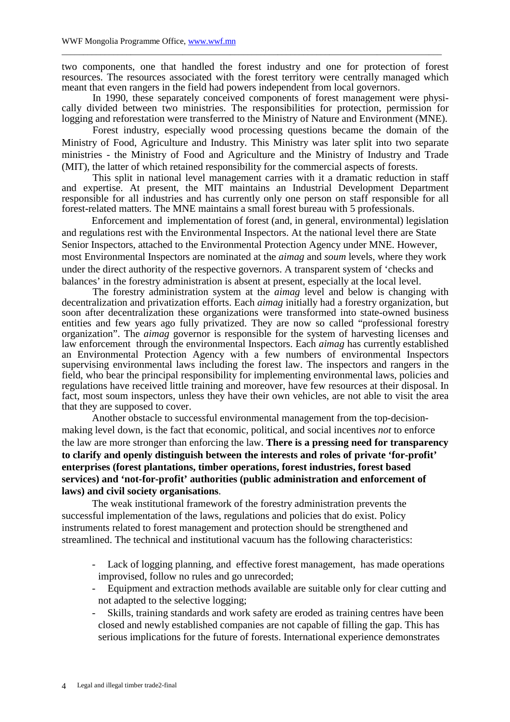two components, one that handled the forest industry and one for protection of forest resources. The resources associated with the forest territory were centrally managed which meant that even rangers in the field had powers independent from local governors.

\_\_\_\_\_\_\_\_\_\_\_\_\_\_\_\_\_\_\_\_\_\_\_\_\_\_\_\_\_\_\_\_\_\_\_\_\_\_\_\_\_\_\_\_\_\_\_\_\_\_\_\_\_\_\_\_\_\_\_\_\_\_\_\_\_\_\_\_\_\_\_\_\_\_\_\_\_\_\_\_\_\_\_\_\_\_\_\_

 In 1990, these separately conceived components of forest management were physically divided between two ministries. The responsibilities for protection, permission for logging and reforestation were transferred to the Ministry of Nature and Environment (MNE).

 Forest industry, especially wood processing questions became the domain of the Ministry of Food, Agriculture and Industry. This Ministry was later split into two separate ministries - the Ministry of Food and Agriculture and the Ministry of Industry and Trade (MIT), the latter of which retained responsibility for the commercial aspects of forests.

 This split in national level management carries with it a dramatic reduction in staff and expertise. At present, the MIT maintains an Industrial Development Department responsible for all industries and has currently only one person on staff responsible for all forest-related matters. The MNE maintains a small forest bureau with 5 professionals.

Enforcement and implementation of forest (and, in general, environmental) legislation and regulations rest with the Environmental Inspectors. At the national level there are State Senior Inspectors, attached to the Environmental Protection Agency under MNE. However, most Environmental Inspectors are nominated at the *aimag* and *soum* levels, where they work under the direct authority of the respective governors. A transparent system of 'checks and balances' in the forestry administration is absent at present, especially at the local level.

 The forestry administration system at the *aimag* level and below is changing with decentralization and privatization efforts. Each *aimag* initially had a forestry organization, but soon after decentralization these organizations were transformed into state-owned business entities and few years ago fully privatized. They are now so called "professional forestry organization". The *aimag* governor is responsible for the system of harvesting licenses and law enforcement through the environmental Inspectors. Each *aimag* has currently established an Environmental Protection Agency with a few numbers of environmental Inspectors supervising environmental laws including the forest law. The inspectors and rangers in the field, who bear the principal responsibility for implementing environmental laws, policies and regulations have received little training and moreover, have few resources at their disposal. In fact, most soum inspectors, unless they have their own vehicles, are not able to visit the area that they are supposed to cover.

Another obstacle to successful environmental management from the top-decisionmaking level down, is the fact that economic, political, and social incentives *not* to enforce the law are more stronger than enforcing the law. **There is a pressing need for transparency to clarify and openly distinguish between the interests and roles of private 'for-profit' enterprises (forest plantations, timber operations, forest industries, forest based services) and 'not-for-profit' authorities (public administration and enforcement of laws) and civil society organisations**.

The weak institutional framework of the forestry administration prevents the successful implementation of the laws, regulations and policies that do exist. Policy instruments related to forest management and protection should be strengthened and streamlined. The technical and institutional vacuum has the following characteristics:

- Lack of logging planning, and effective forest management, has made operations improvised, follow no rules and go unrecorded;
- Equipment and extraction methods available are suitable only for clear cutting and not adapted to the selective logging;
- Skills, training standards and work safety are eroded as training centres have been closed and newly established companies are not capable of filling the gap. This has serious implications for the future of forests. International experience demonstrates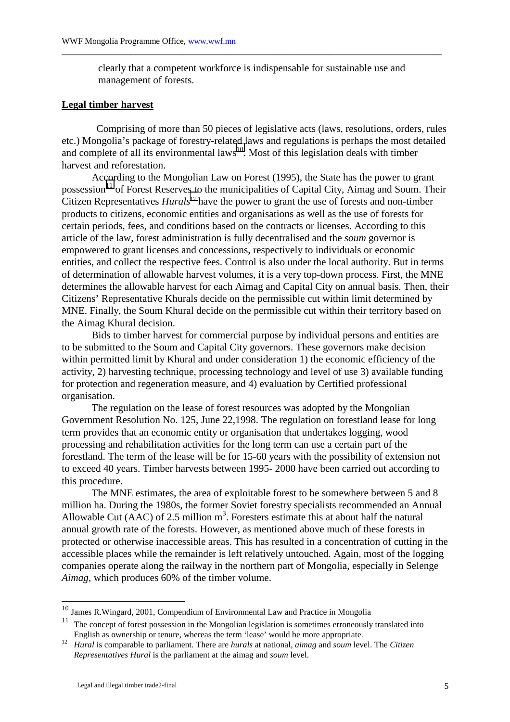clearly that a competent workforce is indispensable for sustainable use and management of forests.

\_\_\_\_\_\_\_\_\_\_\_\_\_\_\_\_\_\_\_\_\_\_\_\_\_\_\_\_\_\_\_\_\_\_\_\_\_\_\_\_\_\_\_\_\_\_\_\_\_\_\_\_\_\_\_\_\_\_\_\_\_\_\_\_\_\_\_\_\_\_\_\_\_\_\_\_\_\_\_\_\_\_\_\_\_\_\_\_

## **Legal timber harvest**

 Comprising of more than 50 pieces of legislative acts (laws, resolutions, orders, rules etc.) Mongolia's package of forestry-related laws and regulations is perhaps the most detailed and complete of all its environmental  $laws<sup>10</sup>$ . Most of this legislation deals with timber harvest and reforestation.

According to the Mongolian Law on Forest (1995), the State has the power to grant possession<sup>11</sup> of Forest Reserves to the municipalities of Capital City, Aimag and Soum. Their Citizen Representatives *Hurals*<sup>12</sup> have the power to grant the use of forests and non-timber products to citizens, economic entities and organisations as well as the use of forests for certain periods, fees, and conditions based on the contracts or licenses. According to this article of the law, forest administration is fully decentralised and the *soum* governor is empowered to grant licenses and concessions, respectively to individuals or economic entities, and collect the respective fees. Control is also under the local authority. But in terms of determination of allowable harvest volumes, it is a very top-down process. First, the MNE determines the allowable harvest for each Aimag and Capital City on annual basis. Then, their Citizens' Representative Khurals decide on the permissible cut within limit determined by MNE. Finally, the Soum Khural decide on the permissible cut within their territory based on the Aimag Khural decision.

Bids to timber harvest for commercial purpose by individual persons and entities are to be submitted to the Soum and Capital City governors. These governors make decision within permitted limit by Khural and under consideration 1) the economic efficiency of the activity, 2) harvesting technique, processing technology and level of use 3) available funding for protection and regeneration measure, and 4) evaluation by Certified professional organisation.

The regulation on the lease of forest resources was adopted by the Mongolian Government Resolution No. 125, June 22,1998. The regulation on forestland lease for long term provides that an economic entity or organisation that undertakes logging, wood processing and rehabilitation activities for the long term can use a certain part of the forestland. The term of the lease will be for 15-60 years with the possibility of extension not to exceed 40 years. Timber harvests between 1995- 2000 have been carried out according to this procedure.

The MNE estimates, the area of exploitable forest to be somewhere between 5 and 8 million ha. During the 1980s, the former Soviet forestry specialists recommended an Annual Allowable Cut ( $\angle$ AAC) of 2.5 million m<sup>3</sup>. Foresters estimate this at about half the natural annual growth rate of the forests. However, as mentioned above much of these forests in protected or otherwise inaccessible areas. This has resulted in a concentration of cutting in the accessible places while the remainder is left relatively untouched. Again, most of the logging companies operate along the railway in the northern part of Mongolia, especially in Selenge *Aimag,* which produces 60% of the timber volume.

 $10$  James R.Wingard, 2001, Compendium of Environmental Law and Practice in Mongolia

<sup>&</sup>lt;sup>11</sup> The concept of forest possession in the Mongolian legislation is sometimes erroneously translated into<br>English as ownership or tenure, whereas the term 'lease' would be more appropriate.

<sup>&</sup>lt;sup>12</sup> *Hural* is comparable to parliament. There are *hurals* at national, *aimag* and *soum* level. The *Citizen Representatives Hural* is the parliament at the aimag and *soum* level.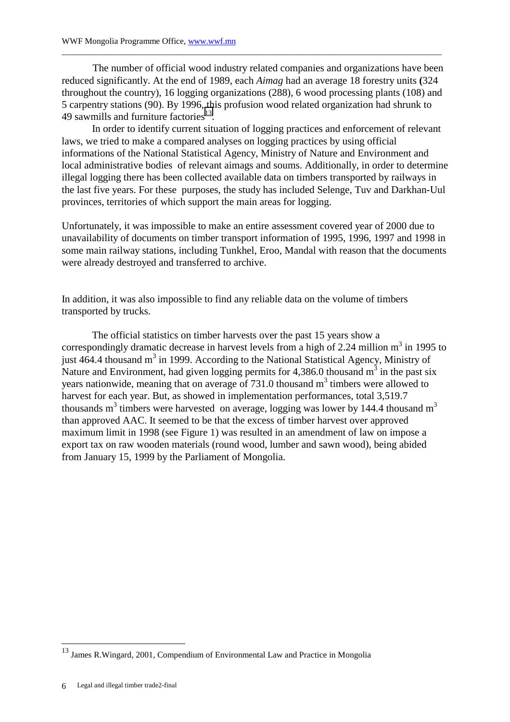The number of official wood industry related companies and organizations have been reduced significantly. At the end of 1989, each *Aimag* had an average 18 forestry units **(**324 throughout the country), 16 logging organizations (288), 6 wood processing plants (108) and 5 carpentry stations (90). By 1996, this profusion wood related organization had shrunk to 49 sawmills and furniture factories<sup>13</sup>.

\_\_\_\_\_\_\_\_\_\_\_\_\_\_\_\_\_\_\_\_\_\_\_\_\_\_\_\_\_\_\_\_\_\_\_\_\_\_\_\_\_\_\_\_\_\_\_\_\_\_\_\_\_\_\_\_\_\_\_\_\_\_\_\_\_\_\_\_\_\_\_\_\_\_\_\_\_\_\_\_\_\_\_\_\_\_\_\_

In order to identify current situation of logging practices and enforcement of relevant laws, we tried to make a compared analyses on logging practices by using official informations of the National Statistical Agency, Ministry of Nature and Environment and local administrative bodies of relevant aimags and soums. Additionally, in order to determine illegal logging there has been collected available data on timbers transported by railways in the last five years. For these purposes, the study has included Selenge, Tuv and Darkhan-Uul provinces, territories of which support the main areas for logging.

Unfortunately, it was impossible to make an entire assessment covered year of 2000 due to unavailability of documents on timber transport information of 1995, 1996, 1997 and 1998 in some main railway stations, including Tunkhel, Eroo, Mandal with reason that the documents were already destroyed and transferred to archive.

In addition, it was also impossible to find any reliable data on the volume of timbers transported by trucks.

The official statistics on timber harvests over the past 15 years show a correspondingly dramatic decrease in harvest levels from a high of 2.24 million  $m<sup>3</sup>$  in 1995 to just  $464.4$  thousand  $m^3$  in 1999. According to the National Statistical Agency, Ministry of Nature and Environment, had given logging permits for 4,386.0 thousand  $m^3$  in the past six years nationwide, meaning that on average of  $731.0$  thousand  $m<sup>3</sup>$  timbers were allowed to harvest for each year. But, as showed in implementation performances, total 3,519.7 thousands m<sup>3</sup> timbers were harvested on average, logging was lower by 144.4 thousand m<sup>3</sup> than approved AAC. It seemed to be that the excess of timber harvest over approved maximum limit in 1998 (see Figure 1) was resulted in an amendment of law on impose a export tax on raw wooden materials (round wood, lumber and sawn wood), being abided from January 15, 1999 by the Parliament of Mongolia.

<sup>&</sup>lt;sup>13</sup> James R.Wingard, 2001, Compendium of Environmental Law and Practice in Mongolia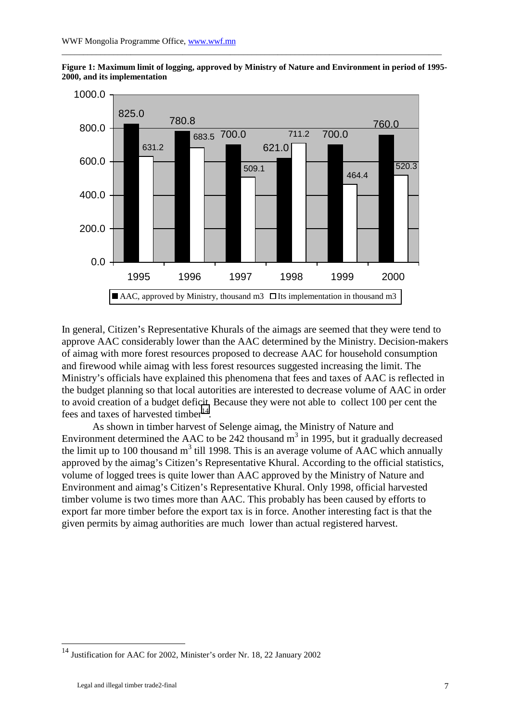

**Figure 1: Maximum limit of logging, approved by Ministry of Nature and Environment in period of 1995- 2000, and its implementation** 

\_\_\_\_\_\_\_\_\_\_\_\_\_\_\_\_\_\_\_\_\_\_\_\_\_\_\_\_\_\_\_\_\_\_\_\_\_\_\_\_\_\_\_\_\_\_\_\_\_\_\_\_\_\_\_\_\_\_\_\_\_\_\_\_\_\_\_\_\_\_\_\_\_\_\_\_\_\_\_\_\_\_\_\_\_\_\_\_

In general, Citizen's Representative Khurals of the aimags are seemed that they were tend to approve AAC considerably lower than the AAC determined by the Ministry. Decision-makers of aimag with more forest resources proposed to decrease AAC for household consumption and firewood while aimag with less forest resources suggested increasing the limit. The Ministry's officials have explained this phenomena that fees and taxes of AAC is reflected in the budget planning so that local autorities are interested to decrease volume of AAC in order to avoid creation of a budget deficit. Because they were not able to collect 100 per cent the fees and taxes of harvested timber<sup>14</sup>.

 As shown in timber harvest of Selenge aimag, the Ministry of Nature and Environment determined the AAC to be 242 thousand  $m<sup>3</sup>$  in 1995, but it gradually decreased the limit up to 100 thousand  $m<sup>3</sup>$  till 1998. This is an average volume of AAC which annually approved by the aimag's Citizen's Representative Khural. According to the official statistics, volume of logged trees is quite lower than AAC approved by the Ministry of Nature and Environment and aimag's Citizen's Representative Khural. Only 1998, official harvested timber volume is two times more than AAC. This probably has been caused by efforts to export far more timber before the export tax is in force. Another interesting fact is that the given permits by aimag authorities are much lower than actual registered harvest.

 $14$  Justification for AAC for 2002, Minister's order Nr. 18, 22 January 2002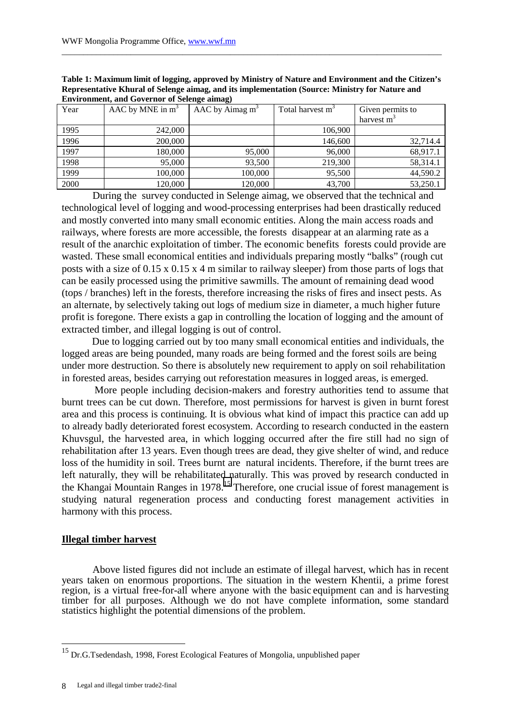| Year | AAC by MNE in $m3$ | $AAC$ by Aimag m <sup>3</sup> | Total harvest m <sup>3</sup> | Given permits to |
|------|--------------------|-------------------------------|------------------------------|------------------|
|      |                    |                               |                              | harvest $m3$     |
| 1995 | 242,000            |                               | 106,900                      |                  |
| 1996 | 200,000            |                               | 146,600                      | 32,714.4         |
| 1997 | 180,000            | 95,000                        | 96,000                       | 68,917.1         |
| 1998 | 95,000             | 93,500                        | 219,300                      | 58,314.1         |
| 1999 | 100,000            | 100,000                       | 95,500                       | 44,590.2         |
| 2000 | 120,000            | 120,000                       | 43,700                       | 53,250.1         |

**Table 1: Maximum limit of logging, approved by Ministry of Nature and Environment and the Citizen's Representative Khural of Selenge aimag, and its implementation (Source: Ministry for Nature and Environment, and Governor of Selenge aimag)**

\_\_\_\_\_\_\_\_\_\_\_\_\_\_\_\_\_\_\_\_\_\_\_\_\_\_\_\_\_\_\_\_\_\_\_\_\_\_\_\_\_\_\_\_\_\_\_\_\_\_\_\_\_\_\_\_\_\_\_\_\_\_\_\_\_\_\_\_\_\_\_\_\_\_\_\_\_\_\_\_\_\_\_\_\_\_\_\_

During the survey conducted in Selenge aimag, we observed that the technical and technological level of logging and wood-processing enterprises had been drastically reduced and mostly converted into many small economic entities. Along the main access roads and railways, where forests are more accessible, the forests disappear at an alarming rate as a result of the anarchic exploitation of timber. The economic benefits forests could provide are wasted. These small economical entities and individuals preparing mostly "balks" (rough cut posts with a size of 0.15 x 0.15 x 4 m similar to railway sleeper) from those parts of logs that can be easily processed using the primitive sawmills. The amount of remaining dead wood (tops / branches) left in the forests, therefore increasing the risks of fires and insect pests. As an alternate, by selectively taking out logs of medium size in diameter, a much higher future profit is foregone. There exists a gap in controlling the location of logging and the amount of extracted timber, and illegal logging is out of control.

Due to logging carried out by too many small economical entities and individuals, the logged areas are being pounded, many roads are being formed and the forest soils are being under more destruction. So there is absolutely new requirement to apply on soil rehabilitation in forested areas, besides carrying out reforestation measures in logged areas, is emerged.

 More people including decision-makers and forestry authorities tend to assume that burnt trees can be cut down. Therefore, most permissions for harvest is given in burnt forest area and this process is continuing. It is obvious what kind of impact this practice can add up to already badly deteriorated forest ecosystem. According to research conducted in the eastern Khuvsgul, the harvested area, in which logging occurred after the fire still had no sign of rehabilitation after 13 years. Even though trees are dead, they give shelter of wind, and reduce loss of the humidity in soil. Trees burnt are natural incidents. Therefore, if the burnt trees are left naturally, they will be rehabilitated naturally. This was proved by research conducted in the Khangai Mountain Ranges in 1978.15 Therefore, one crucial issue of forest management is studying natural regeneration process and conducting forest management activities in harmony with this process.

### **Illegal timber harvest**

Above listed figures did not include an estimate of illegal harvest, which has in recent years taken on enormous proportions. The situation in the western Khentii, a prime forest region, is a virtual free-for-all where anyone with the basic equipment can and is harvesting timber for all purposes. Although we do not have complete information, some standard statistics highlight the potential dimensions of the problem.

<sup>&</sup>lt;sup>15</sup> Dr.G.Tsedendash, 1998, Forest Ecological Features of Mongolia, unpublished paper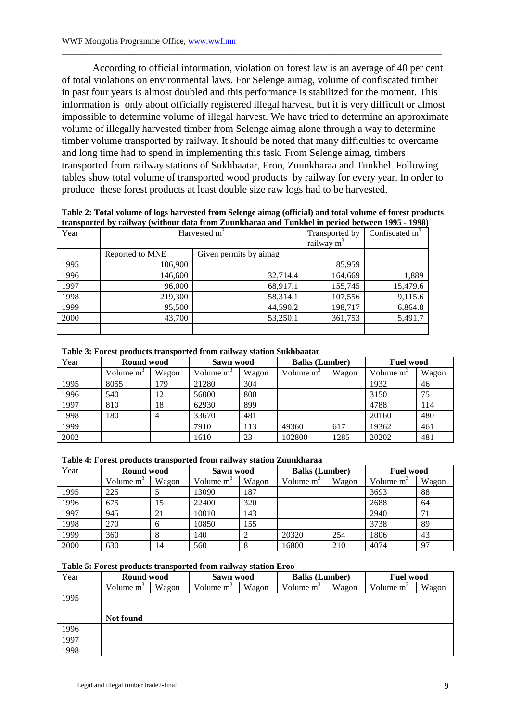According to official information, violation on forest law is an average of 40 per cent of total violations on environmental laws. For Selenge aimag, volume of confiscated timber in past four years is almost doubled and this performance is stabilized for the moment. This information is only about officially registered illegal harvest, but it is very difficult or almost impossible to determine volume of illegal harvest. We have tried to determine an approximate volume of illegally harvested timber from Selenge aimag alone through a way to determine timber volume transported by railway. It should be noted that many difficulties to overcame and long time had to spend in implementing this task. From Selenge aimag, timbers transported from railway stations of Sukhbaatar, Eroo, Zuunkharaa and Tunkhel. Following tables show total volume of transported wood products by railway for every year. In order to produce these forest products at least double size raw logs had to be harvested.

\_\_\_\_\_\_\_\_\_\_\_\_\_\_\_\_\_\_\_\_\_\_\_\_\_\_\_\_\_\_\_\_\_\_\_\_\_\_\_\_\_\_\_\_\_\_\_\_\_\_\_\_\_\_\_\_\_\_\_\_\_\_\_\_\_\_\_\_\_\_\_\_\_\_\_\_\_\_\_\_\_\_\_\_\_\_\_\_

**Table 2: Total volume of logs harvested from Selenge aimag (official) and total volume of forest products transported by railway (without data from Zuunkharaa and Tunkhel in period between 1995 - 1998)** 

| Year | Harvested m <sup>3</sup> | Transported by          | Confiscated $m3$ |          |
|------|--------------------------|-------------------------|------------------|----------|
|      |                          | railway $m^3$           |                  |          |
|      | Reported to MNE          | Given permits by aimag. |                  |          |
| 1995 | 106,900                  |                         | 85,959           |          |
| 1996 | 146,600                  | 32.714.4                | 164,669          | 1,889    |
| 1997 | 96,000                   | 68,917.1                | 155,745          | 15,479.6 |
| 1998 | 219,300                  | 58,314.1                | 107,556          | 9,115.6  |
| 1999 | 95,500                   | 44,590.2                | 198,717          | 6,864.8  |
| 2000 | 43,700                   | 53,250.1                | 361,753          | 5,491.7  |
|      |                          |                         |                  |          |

#### **Table 3: Forest products transported from railway station Sukhbaatar**

| Year | Round wood   |       | Sawn wood    |       | <b>Balks</b> (Lumber) |       | <b>Fuel wood</b> |       |
|------|--------------|-------|--------------|-------|-----------------------|-------|------------------|-------|
|      | Volume $m^3$ | Wagon | Volume $m^3$ | Wagon | Volume m <sup>3</sup> | Wagon | Volume $m^3$     | Wagon |
| 1995 | 8055         | 179   | 21280        | 304   |                       |       | 1932             | 46    |
| 1996 | 540          | 12    | 56000        | 800   |                       |       | 3150             | 75    |
| 1997 | 810          | 18    | 62930        | 899   |                       |       | 4788             | 114   |
| 1998 | 180          |       | 33670        | 481   |                       |       | 20160            | 480   |
| 1999 |              |       | 7910         | 113   | 49360                 | 617   | 19362            | 461   |
| 2002 |              |       | 1610         | 23    | 102800                | 1285  | 20202            | 481   |

#### **Table 4: Forest products transported from railway station Zuunkharaa**

| Year | Round wood            |       | Sawn wood   |       | <b>Balks</b> (Lumber) |       | <b>Fuel wood</b> |       |
|------|-----------------------|-------|-------------|-------|-----------------------|-------|------------------|-------|
|      | Volume m <sup>3</sup> | Wagon | Volume $m2$ | Wagon | Volume m <sup>3</sup> | Wagon | Volume $m^3$     | Wagon |
| 1995 | 225                   |       | 13090       | 187   |                       |       | 3693             | 88    |
| 1996 | 675                   | 15    | 22400       | 320   |                       |       | 2688             | 64    |
| 1997 | 945                   | 21    | 10010       | 143   |                       |       | 2940             | 71    |
| 1998 | 270                   | 6     | 10850       | 155   |                       |       | 3738             | 89    |
| 1999 | 360                   | Õ     | 140         |       | 20320                 | 254   | 1806             | 43    |
| 2000 | 630                   | 14    | 560         |       | 16800                 | 210   | 4074             | 97    |

# **Table 5: Forest products transported from railway station Eroo**

| Year | Round wood   |       | Sawn wood    |       | <b>Balks</b> (Lumber) |       | <b>Fuel wood</b> |       |
|------|--------------|-------|--------------|-------|-----------------------|-------|------------------|-------|
|      | Volume $m^3$ | Wagon | Volume $m^3$ | Wagon | Volume $m3$           | Wagon | Volume $m^3$     | Wagon |
| 1995 |              |       |              |       |                       |       |                  |       |
|      |              |       |              |       |                       |       |                  |       |
|      | Not found    |       |              |       |                       |       |                  |       |
| 1996 |              |       |              |       |                       |       |                  |       |
| 1997 |              |       |              |       |                       |       |                  |       |
| 1998 |              |       |              |       |                       |       |                  |       |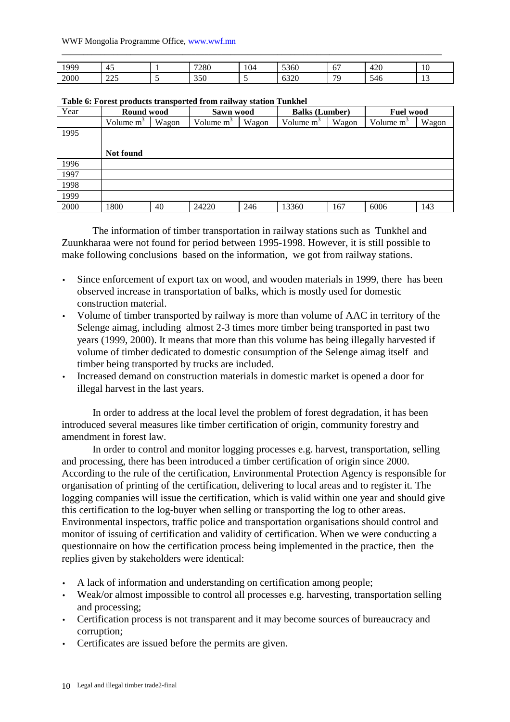#### WWF Mongolia Programme Office, www.wwf.mn

| 999  | . .<br>. .              | 7000<br>∠o∪ | 104 | 5000<br><b>5360</b>  | $\overline{\phantom{a}}$<br><b>U</b> . | חרו<br><u>. .</u><br>τ∠υ | £<br>1 V     |
|------|-------------------------|-------------|-----|----------------------|----------------------------------------|--------------------------|--------------|
| 2000 | $\Delta \Gamma$<br>ر رے | 350         |     | $\sim$ 0.0<br>. UJZU | 70                                     | <b>240</b>               | . .<br>. L.J |

\_\_\_\_\_\_\_\_\_\_\_\_\_\_\_\_\_\_\_\_\_\_\_\_\_\_\_\_\_\_\_\_\_\_\_\_\_\_\_\_\_\_\_\_\_\_\_\_\_\_\_\_\_\_\_\_\_\_\_\_\_\_\_\_\_\_\_\_\_\_\_\_\_\_\_\_\_\_\_\_\_\_\_\_\_\_\_\_

#### **Table 6: Forest products transported from railway station Tunkhel**

| Year | Round wood            |       | Sawn wood    |       | <b>Balks</b> (Lumber) |       | <b>Fuel wood</b> |       |
|------|-----------------------|-------|--------------|-------|-----------------------|-------|------------------|-------|
|      | Volume m <sup>3</sup> | Wagon | Volume $m^3$ | Wagon | Volume m <sup>3</sup> | Wagon | Volume $m^3$     | Wagon |
| 1995 |                       |       |              |       |                       |       |                  |       |
|      |                       |       |              |       |                       |       |                  |       |
|      | Not found             |       |              |       |                       |       |                  |       |
| 1996 |                       |       |              |       |                       |       |                  |       |
| 1997 |                       |       |              |       |                       |       |                  |       |
| 1998 |                       |       |              |       |                       |       |                  |       |
| 1999 |                       |       |              |       |                       |       |                  |       |
| 2000 | 1800                  | 40    | 24220        | 246   | 13360                 | 167   | 6006             | 143   |

The information of timber transportation in railway stations such as Tunkhel and Zuunkharaa were not found for period between 1995-1998. However, it is still possible to make following conclusions based on the information, we got from railway stations.

- Since enforcement of export tax on wood, and wooden materials in 1999, there has been observed increase in transportation of balks, which is mostly used for domestic construction material.
- Volume of timber transported by railway is more than volume of AAC in territory of the Selenge aimag, including almost 2-3 times more timber being transported in past two years (1999, 2000). It means that more than this volume has being illegally harvested if volume of timber dedicated to domestic consumption of the Selenge aimag itself and timber being transported by trucks are included.
- Increased demand on construction materials in domestic market is opened a door for illegal harvest in the last years.

In order to address at the local level the problem of forest degradation, it has been introduced several measures like timber certification of origin, community forestry and amendment in forest law.

In order to control and monitor logging processes e.g. harvest, transportation, selling and processing, there has been introduced a timber certification of origin since 2000. According to the rule of the certification, Environmental Protection Agency is responsible for organisation of printing of the certification, delivering to local areas and to register it. The logging companies will issue the certification, which is valid within one year and should give this certification to the log-buyer when selling or transporting the log to other areas. Environmental inspectors, traffic police and transportation organisations should control and monitor of issuing of certification and validity of certification. When we were conducting a questionnaire on how the certification process being implemented in the practice, then the replies given by stakeholders were identical:

- A lack of information and understanding on certification among people;
- Weak/or almost impossible to control all processes e.g. harvesting, transportation selling and processing;
- Certification process is not transparent and it may become sources of bureaucracy and corruption;
- Certificates are issued before the permits are given.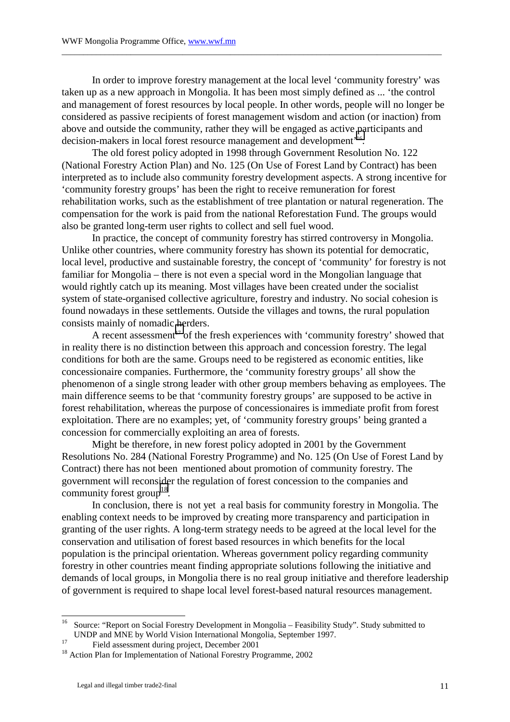In order to improve forestry management at the local level 'community forestry' was taken up as a new approach in Mongolia. It has been most simply defined as ... 'the control and management of forest resources by local people. In other words, people will no longer be considered as passive recipients of forest management wisdom and action (or inaction) from above and outside the community, rather they will be engaged as active participants and decision-makers in local forest resource management and development'16.

\_\_\_\_\_\_\_\_\_\_\_\_\_\_\_\_\_\_\_\_\_\_\_\_\_\_\_\_\_\_\_\_\_\_\_\_\_\_\_\_\_\_\_\_\_\_\_\_\_\_\_\_\_\_\_\_\_\_\_\_\_\_\_\_\_\_\_\_\_\_\_\_\_\_\_\_\_\_\_\_\_\_\_\_\_\_\_\_

The old forest policy adopted in 1998 through Government Resolution No. 122 (National Forestry Action Plan) and No. 125 (On Use of Forest Land by Contract) has been interpreted as to include also community forestry development aspects. A strong incentive for 'community forestry groups' has been the right to receive remuneration for forest rehabilitation works, such as the establishment of tree plantation or natural regeneration. The compensation for the work is paid from the national Reforestation Fund. The groups would also be granted long-term user rights to collect and sell fuel wood.

In practice, the concept of community forestry has stirred controversy in Mongolia. Unlike other countries, where community forestry has shown its potential for democratic, local level, productive and sustainable forestry, the concept of 'community' for forestry is not familiar for Mongolia – there is not even a special word in the Mongolian language that would rightly catch up its meaning. Most villages have been created under the socialist system of state-organised collective agriculture, forestry and industry. No social cohesion is found nowadays in these settlements. Outside the villages and towns, the rural population consists mainly of nomadic herders.

A recent assessment<sup>17</sup> of the fresh experiences with 'community forestry' showed that in reality there is no distinction between this approach and concession forestry. The legal conditions for both are the same. Groups need to be registered as economic entities, like concessionaire companies. Furthermore, the 'community forestry groups' all show the phenomenon of a single strong leader with other group members behaving as employees. The main difference seems to be that 'community forestry groups' are supposed to be active in forest rehabilitation, whereas the purpose of concessionaires is immediate profit from forest exploitation. There are no examples; yet, of 'community forestry groups' being granted a concession for commercially exploiting an area of forests.

Might be therefore, in new forest policy adopted in 2001 by the Government Resolutions No. 284 (National Forestry Programme) and No. 125 (On Use of Forest Land by Contract) there has not been mentioned about promotion of community forestry. The government will reconsider the regulation of forest concession to the companies and community forest group<sup>18</sup>.

In conclusion, there is not yet a real basis for community forestry in Mongolia. The enabling context needs to be improved by creating more transparency and participation in granting of the user rights. A long-term strategy needs to be agreed at the local level for the conservation and utilisation of forest based resources in which benefits for the local population is the principal orientation. Whereas government policy regarding community forestry in other countries meant finding appropriate solutions following the initiative and demands of local groups, in Mongolia there is no real group initiative and therefore leadership of government is required to shape local level forest-based natural resources management.

 $16\,$ 16 Source: "Report on Social Forestry Development in Mongolia – Feasibility Study". Study submitted to UNDP and MNE by World Vision International Mongolia, September 1997.<br><sup>17</sup> Field assessment during project, December 2001

<sup>&</sup>lt;sup>18</sup> Action Plan for Implementation of National Forestry Programme, 2002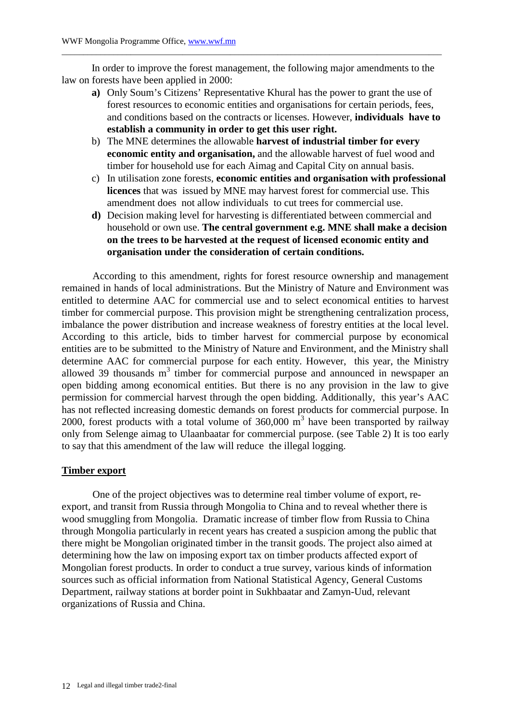In order to improve the forest management, the following major amendments to the law on forests have been applied in 2000:

\_\_\_\_\_\_\_\_\_\_\_\_\_\_\_\_\_\_\_\_\_\_\_\_\_\_\_\_\_\_\_\_\_\_\_\_\_\_\_\_\_\_\_\_\_\_\_\_\_\_\_\_\_\_\_\_\_\_\_\_\_\_\_\_\_\_\_\_\_\_\_\_\_\_\_\_\_\_\_\_\_\_\_\_\_\_\_\_

- **a)** Only Soum's Citizens' Representative Khural has the power to grant the use of forest resources to economic entities and organisations for certain periods, fees, and conditions based on the contracts or licenses. However, **individuals have to establish a community in order to get this user right.**
- b) The MNE determines the allowable **harvest of industrial timber for every economic entity and organisation,** and the allowable harvest of fuel wood and timber for household use for each Aimag and Capital City on annual basis.
- c) In utilisation zone forests, **economic entities and organisation with professional licences** that was issued by MNE may harvest forest for commercial use. This amendment does not allow individuals to cut trees for commercial use.
- **d)** Decision making level for harvesting is differentiated between commercial and household or own use. **The central government e.g. MNE shall make a decision on the trees to be harvested at the request of licensed economic entity and organisation under the consideration of certain conditions.**

According to this amendment, rights for forest resource ownership and management remained in hands of local administrations. But the Ministry of Nature and Environment was entitled to determine AAC for commercial use and to select economical entities to harvest timber for commercial purpose. This provision might be strengthening centralization process, imbalance the power distribution and increase weakness of forestry entities at the local level. According to this article, bids to timber harvest for commercial purpose by economical entities are to be submitted to the Ministry of Nature and Environment, and the Ministry shall determine AAC for commercial purpose for each entity. However, this year, the Ministry allowed 39 thousands  $m<sup>3</sup>$  timber for commercial purpose and announced in newspaper an open bidding among economical entities. But there is no any provision in the law to give permission for commercial harvest through the open bidding. Additionally, this year's AAC has not reflected increasing domestic demands on forest products for commercial purpose. In 2000, forest products with a total volume of  $360,000$  m<sup>3</sup> have been transported by railway only from Selenge aimag to Ulaanbaatar for commercial purpose. (see Table 2) It is too early to say that this amendment of the law will reduce the illegal logging.

# **Timber export**

One of the project objectives was to determine real timber volume of export, reexport, and transit from Russia through Mongolia to China and to reveal whether there is wood smuggling from Mongolia. Dramatic increase of timber flow from Russia to China through Mongolia particularly in recent years has created a suspicion among the public that there might be Mongolian originated timber in the transit goods. The project also aimed at determining how the law on imposing export tax on timber products affected export of Mongolian forest products. In order to conduct a true survey, various kinds of information sources such as official information from National Statistical Agency, General Customs Department, railway stations at border point in Sukhbaatar and Zamyn-Uud, relevant organizations of Russia and China.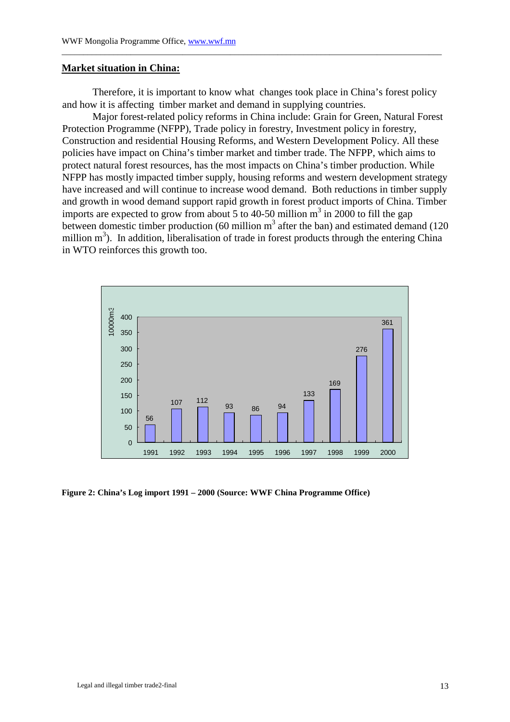#### **Market situation in China:**

Therefore, it is important to know what changes took place in China's forest policy and how it is affecting timber market and demand in supplying countries.

\_\_\_\_\_\_\_\_\_\_\_\_\_\_\_\_\_\_\_\_\_\_\_\_\_\_\_\_\_\_\_\_\_\_\_\_\_\_\_\_\_\_\_\_\_\_\_\_\_\_\_\_\_\_\_\_\_\_\_\_\_\_\_\_\_\_\_\_\_\_\_\_\_\_\_\_\_\_\_\_\_\_\_\_\_\_\_\_

Major forest-related policy reforms in China include: Grain for Green, Natural Forest Protection Programme (NFPP), Trade policy in forestry, Investment policy in forestry, Construction and residential Housing Reforms, and Western Development Policy. All these policies have impact on China's timber market and timber trade. The NFPP, which aims to protect natural forest resources, has the most impacts on China's timber production. While NFPP has mostly impacted timber supply, housing reforms and western development strategy have increased and will continue to increase wood demand. Both reductions in timber supply and growth in wood demand support rapid growth in forest product imports of China. Timber imports are expected to grow from about 5 to 40-50 million  $m^3$  in 2000 to fill the gap between domestic timber production (60 million  $m<sup>3</sup>$  after the ban) and estimated demand (120 million  $m<sup>3</sup>$ ). In addition, liberalisation of trade in forest products through the entering China in WTO reinforces this growth too.



**Figure 2: China's Log import 1991 – 2000 (Source: WWF China Programme Office)**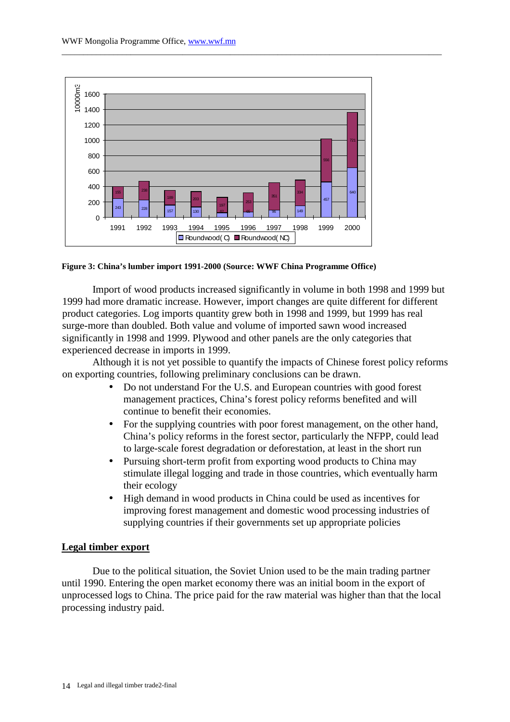

#### **Figure 3: China's lumber import 1991-2000 (Source: WWF China Programme Office)**

Import of wood products increased significantly in volume in both 1998 and 1999 but 1999 had more dramatic increase. However, import changes are quite different for different product categories. Log imports quantity grew both in 1998 and 1999, but 1999 has real surge-more than doubled. Both value and volume of imported sawn wood increased significantly in 1998 and 1999. Plywood and other panels are the only categories that experienced decrease in imports in 1999.

\_\_\_\_\_\_\_\_\_\_\_\_\_\_\_\_\_\_\_\_\_\_\_\_\_\_\_\_\_\_\_\_\_\_\_\_\_\_\_\_\_\_\_\_\_\_\_\_\_\_\_\_\_\_\_\_\_\_\_\_\_\_\_\_\_\_\_\_\_\_\_\_\_\_\_\_\_\_\_\_\_\_\_\_\_\_\_\_

Although it is not yet possible to quantify the impacts of Chinese forest policy reforms on exporting countries, following preliminary conclusions can be drawn.

- Do not understand For the U.S. and European countries with good forest management practices, China's forest policy reforms benefited and will continue to benefit their economies.
- For the supplying countries with poor forest management, on the other hand, China's policy reforms in the forest sector, particularly the NFPP, could lead to large-scale forest degradation or deforestation, at least in the short run
- Pursuing short-term profit from exporting wood products to China may stimulate illegal logging and trade in those countries, which eventually harm their ecology
- High demand in wood products in China could be used as incentives for improving forest management and domestic wood processing industries of supplying countries if their governments set up appropriate policies

### **Legal timber export**

Due to the political situation, the Soviet Union used to be the main trading partner until 1990. Entering the open market economy there was an initial boom in the export of unprocessed logs to China. The price paid for the raw material was higher than that the local processing industry paid.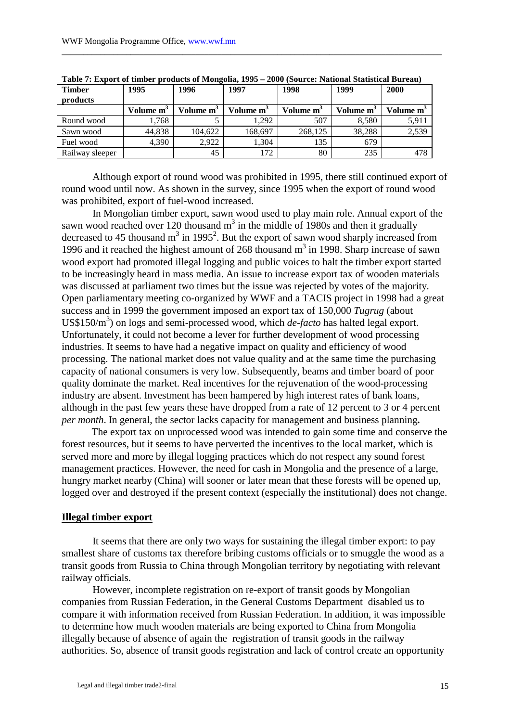| <b>Timber</b>   | 1995                  | 1996                  | 1997                  | 1998                  | 1999                  | 2000                  |
|-----------------|-----------------------|-----------------------|-----------------------|-----------------------|-----------------------|-----------------------|
| products        |                       |                       |                       |                       |                       |                       |
|                 | Volume m <sup>3</sup> | Volume m <sup>3</sup> | Volume m <sup>3</sup> | Volume m <sup>3</sup> | Volume m <sup>3</sup> | Volume m <sup>3</sup> |
| Round wood      | 1.768                 |                       | 1.292                 | 507                   | 8,580                 | 5,91                  |
| Sawn wood       | 44.838                | 104.622               | 168,697               | 268,125               | 38,288                | 2,539                 |
| Fuel wood       | 4,390                 | 2,922                 | 1,304                 | 135                   | 679                   |                       |
| Railway sleeper |                       | 45                    | 172                   | 80                    | 235                   | 478                   |

| Table 7: Export of timber products of Mongolia, 1995 - 2000 (Source: National Statistical Bureau) |
|---------------------------------------------------------------------------------------------------|
|---------------------------------------------------------------------------------------------------|

\_\_\_\_\_\_\_\_\_\_\_\_\_\_\_\_\_\_\_\_\_\_\_\_\_\_\_\_\_\_\_\_\_\_\_\_\_\_\_\_\_\_\_\_\_\_\_\_\_\_\_\_\_\_\_\_\_\_\_\_\_\_\_\_\_\_\_\_\_\_\_\_\_\_\_\_\_\_\_\_\_\_\_\_\_\_\_\_

Although export of round wood was prohibited in 1995, there still continued export of round wood until now. As shown in the survey, since 1995 when the export of round wood was prohibited, export of fuel-wood increased.

In Mongolian timber export, sawn wood used to play main role. Annual export of the sawn wood reached over 120 thousand  $m<sup>3</sup>$  in the middle of 1980s and then it gradually decreased to 45 thousand  $m^3$  in 1995<sup>2</sup>. But the export of sawn wood sharply increased from 1996 and it reached the highest amount of 268 thousand  $m<sup>3</sup>$  in 1998. Sharp increase of sawn wood export had promoted illegal logging and public voices to halt the timber export started to be increasingly heard in mass media. An issue to increase export tax of wooden materials was discussed at parliament two times but the issue was rejected by votes of the majority. Open parliamentary meeting co-organized by WWF and a TACIS project in 1998 had a great success and in 1999 the government imposed an export tax of 150,000 *Tugrug* (about US\$150/m<sup>3</sup>) on logs and semi-processed wood, which *de-facto* has halted legal export. Unfortunately, it could not become a lever for further development of wood processing industries. It seems to have had a negative impact on quality and efficiency of wood processing. The national market does not value quality and at the same time the purchasing capacity of national consumers is very low. Subsequently, beams and timber board of poor quality dominate the market. Real incentives for the rejuvenation of the wood-processing industry are absent. Investment has been hampered by high interest rates of bank loans, although in the past few years these have dropped from a rate of 12 percent to 3 or 4 percent *per month*. In general, the sector lacks capacity for management and business planning**.** 

The export tax on unprocessed wood was intended to gain some time and conserve the forest resources, but it seems to have perverted the incentives to the local market, which is served more and more by illegal logging practices which do not respect any sound forest management practices. However, the need for cash in Mongolia and the presence of a large, hungry market nearby (China) will sooner or later mean that these forests will be opened up, logged over and destroyed if the present context (especially the institutional) does not change.

### **Illegal timber export**

It seems that there are only two ways for sustaining the illegal timber export: to pay smallest share of customs tax therefore bribing customs officials or to smuggle the wood as a transit goods from Russia to China through Mongolian territory by negotiating with relevant railway officials.

However, incomplete registration on re-export of transit goods by Mongolian companies from Russian Federation, in the General Customs Department disabled us to compare it with information received from Russian Federation. In addition, it was impossible to determine how much wooden materials are being exported to China from Mongolia illegally because of absence of again the registration of transit goods in the railway authorities. So, absence of transit goods registration and lack of control create an opportunity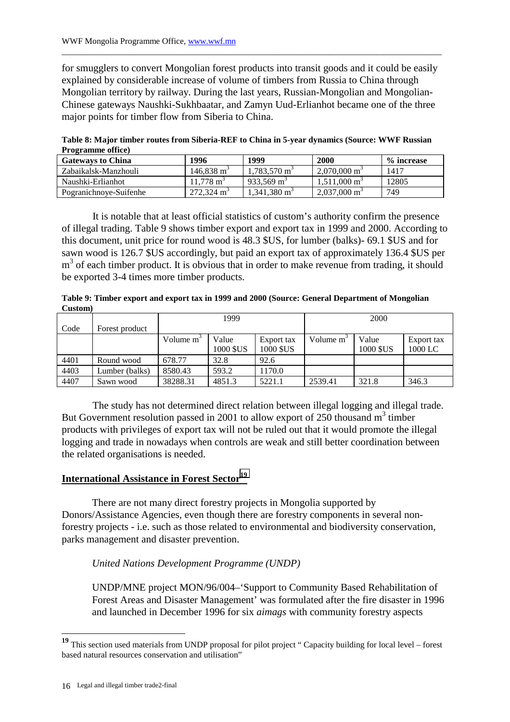for smugglers to convert Mongolian forest products into transit goods and it could be easily explained by considerable increase of volume of timbers from Russia to China through Mongolian territory by railway. During the last years, Russian-Mongolian and Mongolian-Chinese gateways Naushki-Sukhbaatar, and Zamyn Uud-Erlianhot became one of the three major points for timber flow from Siberia to China.

\_\_\_\_\_\_\_\_\_\_\_\_\_\_\_\_\_\_\_\_\_\_\_\_\_\_\_\_\_\_\_\_\_\_\_\_\_\_\_\_\_\_\_\_\_\_\_\_\_\_\_\_\_\_\_\_\_\_\_\_\_\_\_\_\_\_\_\_\_\_\_\_\_\_\_\_\_\_\_\_\_\_\_\_\_\_\_\_

**Table 8: Major timber routes from Siberia-REF to China in 5-year dynamics (Source: WWF Russian Programme office)**

| <b>Gateways to China</b> | 1996                  | 1999                    | 2000                    | % increase |
|--------------------------|-----------------------|-------------------------|-------------------------|------------|
| Zabaikalsk-Manzhouli     | $146.838 \text{ m}^3$ | $1.783.570 \text{ m}^3$ | $2.070,000 \text{ m}^3$ | 1417       |
| Naushki-Erlianhot        | $11.778 \text{ m}^3$  | 933.569 m <sup>3</sup>  | $1,511,000 \text{ m}^3$ | 12805      |
| Pogranichnoye-Suifenhe   | $272.324 \text{ m}^3$ | $1,341,380 \text{ m}^3$ | $2,037,000 \text{ m}^3$ | 749        |

It is notable that at least official statistics of custom's authority confirm the presence of illegal trading. Table 9 shows timber export and export tax in 1999 and 2000. According to this document, unit price for round wood is 48.3 \$US, for lumber (balks)- 69.1 \$US and for sawn wood is 126.7 \$US accordingly, but paid an export tax of approximately 136.4 \$US per m<sup>3</sup> of each timber product. It is obvious that in order to make revenue from trading, it should be exported 3-4 times more timber products.

**Table 9: Timber export and export tax in 1999 and 2000 (Source: General Department of Mongolian Custom)** 

|      |                | 1999                  |                    |                         | 2000         |                    |                       |
|------|----------------|-----------------------|--------------------|-------------------------|--------------|--------------------|-----------------------|
| Code | Forest product |                       |                    |                         |              |                    |                       |
|      |                | Volume m <sup>3</sup> | Value<br>1000 \$US | Export tax<br>1000 \$US | Volume $m^3$ | Value<br>1000 \$US | Export tax<br>1000 LC |
| 4401 | Round wood     | 678.77                | 32.8               | 92.6                    |              |                    |                       |
| 4403 | Lumber (balks) | 8580.43               | 593.2              | 170.0                   |              |                    |                       |
| 4407 | Sawn wood      | 38288.31              | 4851.3             | 5221.1                  | 2539.41      | 321.8              | 346.3                 |

The study has not determined direct relation between illegal logging and illegal trade. But Government resolution passed in 2001 to allow export of 250 thousand  $m^3$  timber products with privileges of export tax will not be ruled out that it would promote the illegal logging and trade in nowadays when controls are weak and still better coordination between the related organisations is needed.

# **International Assistance in Forest Sector<sup>19</sup>**

There are not many direct forestry projects in Mongolia supported by Donors/Assistance Agencies, even though there are forestry components in several nonforestry projects - i.e. such as those related to environmental and biodiversity conservation, parks management and disaster prevention.

# *United Nations Development Programme (UNDP)*

UNDP/MNE project MON/96/004–'Support to Community Based Rehabilitation of Forest Areas and Disaster Management' was formulated after the fire disaster in 1996 and launched in December 1996 for six *aimags* with community forestry aspects

 $\overline{a}$ 

**<sup>19</sup>** This section used materials from UNDP proposal for pilot project " Capacity building for local level – forest based natural resources conservation and utilisation"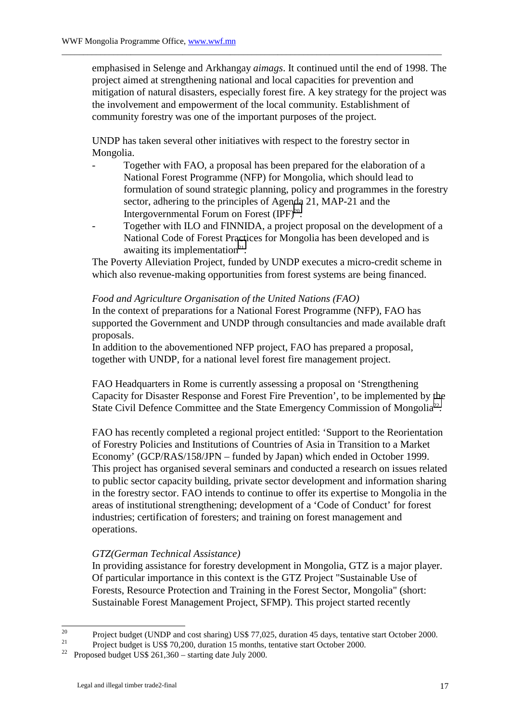emphasised in Selenge and Arkhangay *aimags*. It continued until the end of 1998. The project aimed at strengthening national and local capacities for prevention and mitigation of natural disasters, especially forest fire. A key strategy for the project was the involvement and empowerment of the local community. Establishment of community forestry was one of the important purposes of the project.

UNDP has taken several other initiatives with respect to the forestry sector in Mongolia.

\_\_\_\_\_\_\_\_\_\_\_\_\_\_\_\_\_\_\_\_\_\_\_\_\_\_\_\_\_\_\_\_\_\_\_\_\_\_\_\_\_\_\_\_\_\_\_\_\_\_\_\_\_\_\_\_\_\_\_\_\_\_\_\_\_\_\_\_\_\_\_\_\_\_\_\_\_\_\_\_\_\_\_\_\_\_\_\_

- Together with FAO, a proposal has been prepared for the elaboration of a National Forest Programme (NFP) for Mongolia, which should lead to formulation of sound strategic planning, policy and programmes in the forestry sector, adhering to the principles of Agenda 21, MAP-21 and the Intergovernmental Forum on Forest  $(IPF)^{20}$ .
- Together with ILO and FINNIDA, a project proposal on the development of a National Code of Forest Practices for Mongolia has been developed and is awaiting its implementation $21$ .

The Poverty Alleviation Project, funded by UNDP executes a micro-credit scheme in which also revenue-making opportunities from forest systems are being financed.

## *Food and Agriculture Organisation of the United Nations (FAO)*

In the context of preparations for a National Forest Programme (NFP), FAO has supported the Government and UNDP through consultancies and made available draft proposals.

In addition to the abovementioned NFP project, FAO has prepared a proposal, together with UNDP, for a national level forest fire management project.

FAO Headquarters in Rome is currently assessing a proposal on 'Strengthening Capacity for Disaster Response and Forest Fire Prevention', to be implemented by the State Civil Defence Committee and the State Emergency Commission of Mongolia<sup>22</sup>.

FAO has recently completed a regional project entitled: 'Support to the Reorientation of Forestry Policies and Institutions of Countries of Asia in Transition to a Market Economy' (GCP/RAS/158/JPN – funded by Japan) which ended in October 1999. This project has organised several seminars and conducted a research on issues related to public sector capacity building, private sector development and information sharing in the forestry sector. FAO intends to continue to offer its expertise to Mongolia in the areas of institutional strengthening; development of a 'Code of Conduct' for forest industries; certification of foresters; and training on forest management and operations.

# *GTZ(German Technical Assistance)*

In providing assistance for forestry development in Mongolia, GTZ is a major player. Of particular importance in this context is the GTZ Project "Sustainable Use of Forests, Resource Protection and Training in the Forest Sector, Mongolia" (short: Sustainable Forest Management Project, SFMP). This project started recently

 $20$ <sup>20</sup> Project budget (UNDP and cost sharing) US\$ 77,025, duration 45 days, tentative start October 2000.<br>Project budget is US\$ 70,200, duration 15 months, tentative start October 2000.

<sup>&</sup>lt;sup>21</sup> Project budget is US\$ 70,200, duration 15 months, tentative start October 2000.<br><sup>22</sup> Property detailed 1, 2000.

<sup>22</sup> Proposed budget US\$ 261,360 – starting date July 2000.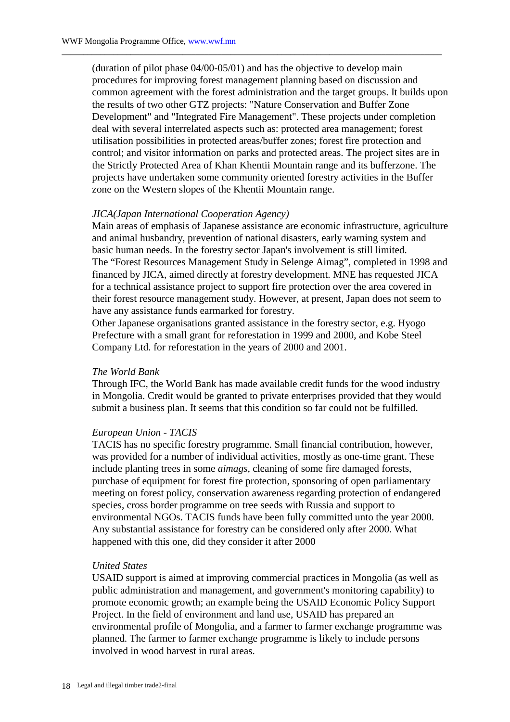(duration of pilot phase 04/00-05/01) and has the objective to develop main procedures for improving forest management planning based on discussion and common agreement with the forest administration and the target groups. It builds upon the results of two other GTZ projects: "Nature Conservation and Buffer Zone Development" and "Integrated Fire Management". These projects under completion deal with several interrelated aspects such as: protected area management; forest utilisation possibilities in protected areas/buffer zones; forest fire protection and control; and visitor information on parks and protected areas. The project sites are in the Strictly Protected Area of Khan Khentii Mountain range and its bufferzone. The projects have undertaken some community oriented forestry activities in the Buffer zone on the Western slopes of the Khentii Mountain range.

\_\_\_\_\_\_\_\_\_\_\_\_\_\_\_\_\_\_\_\_\_\_\_\_\_\_\_\_\_\_\_\_\_\_\_\_\_\_\_\_\_\_\_\_\_\_\_\_\_\_\_\_\_\_\_\_\_\_\_\_\_\_\_\_\_\_\_\_\_\_\_\_\_\_\_\_\_\_\_\_\_\_\_\_\_\_\_\_

#### *JICA(Japan International Cooperation Agency)*

Main areas of emphasis of Japanese assistance are economic infrastructure, agriculture and animal husbandry, prevention of national disasters, early warning system and basic human needs. In the forestry sector Japan's involvement is still limited. The "Forest Resources Management Study in Selenge Aimag", completed in 1998 and financed by JICA, aimed directly at forestry development. MNE has requested JICA for a technical assistance project to support fire protection over the area covered in their forest resource management study. However, at present, Japan does not seem to have any assistance funds earmarked for forestry.

Other Japanese organisations granted assistance in the forestry sector, e.g. Hyogo Prefecture with a small grant for reforestation in 1999 and 2000, and Kobe Steel Company Ltd. for reforestation in the years of 2000 and 2001.

# *The World Bank*

Through IFC, the World Bank has made available credit funds for the wood industry in Mongolia. Credit would be granted to private enterprises provided that they would submit a business plan. It seems that this condition so far could not be fulfilled.

# *European Union - TACIS*

TACIS has no specific forestry programme. Small financial contribution, however, was provided for a number of individual activities, mostly as one-time grant. These include planting trees in some *aimags*, cleaning of some fire damaged forests, purchase of equipment for forest fire protection, sponsoring of open parliamentary meeting on forest policy, conservation awareness regarding protection of endangered species, cross border programme on tree seeds with Russia and support to environmental NGOs. TACIS funds have been fully committed unto the year 2000. Any substantial assistance for forestry can be considered only after 2000. What happened with this one, did they consider it after 2000

#### *United States*

USAID support is aimed at improving commercial practices in Mongolia (as well as public administration and management, and government's monitoring capability) to promote economic growth; an example being the USAID Economic Policy Support Project. In the field of environment and land use, USAID has prepared an environmental profile of Mongolia, and a farmer to farmer exchange programme was planned. The farmer to farmer exchange programme is likely to include persons involved in wood harvest in rural areas.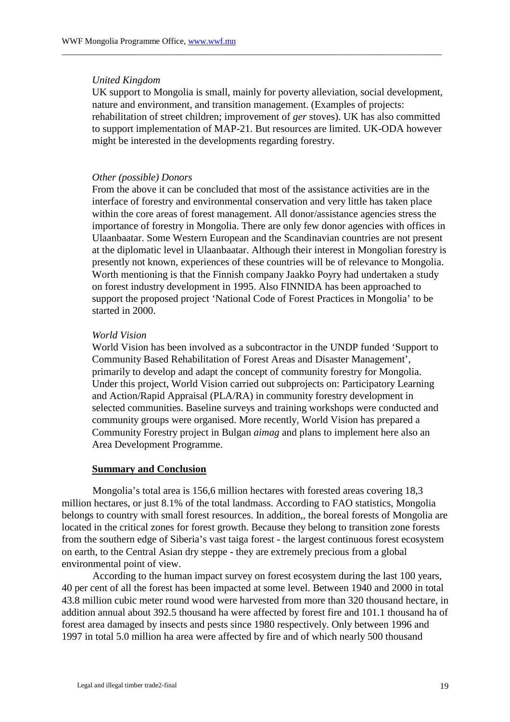#### *United Kingdom*

UK support to Mongolia is small, mainly for poverty alleviation, social development, nature and environment, and transition management. (Examples of projects: rehabilitation of street children; improvement of *ger* stoves). UK has also committed to support implementation of MAP-21. But resources are limited. UK-ODA however might be interested in the developments regarding forestry.

\_\_\_\_\_\_\_\_\_\_\_\_\_\_\_\_\_\_\_\_\_\_\_\_\_\_\_\_\_\_\_\_\_\_\_\_\_\_\_\_\_\_\_\_\_\_\_\_\_\_\_\_\_\_\_\_\_\_\_\_\_\_\_\_\_\_\_\_\_\_\_\_\_\_\_\_\_\_\_\_\_\_\_\_\_\_\_\_

# *Other (possible) Donors*

From the above it can be concluded that most of the assistance activities are in the interface of forestry and environmental conservation and very little has taken place within the core areas of forest management. All donor/assistance agencies stress the importance of forestry in Mongolia. There are only few donor agencies with offices in Ulaanbaatar. Some Western European and the Scandinavian countries are not present at the diplomatic level in Ulaanbaatar. Although their interest in Mongolian forestry is presently not known, experiences of these countries will be of relevance to Mongolia. Worth mentioning is that the Finnish company Jaakko Poyry had undertaken a study on forest industry development in 1995. Also FINNIDA has been approached to support the proposed project 'National Code of Forest Practices in Mongolia' to be started in 2000.

## *World Vision*

World Vision has been involved as a subcontractor in the UNDP funded 'Support to Community Based Rehabilitation of Forest Areas and Disaster Management', primarily to develop and adapt the concept of community forestry for Mongolia. Under this project, World Vision carried out subprojects on: Participatory Learning and Action/Rapid Appraisal (PLA/RA) in community forestry development in selected communities. Baseline surveys and training workshops were conducted and community groups were organised. More recently, World Vision has prepared a Community Forestry project in Bulgan *aimag* and plans to implement here also an Area Development Programme.

# **Summary and Conclusion**

Mongolia's total area is 156,6 million hectares with forested areas covering 18,3 million hectares, or just 8.1% of the total landmass. According to FAO statistics, Mongolia belongs to country with small forest resources. In addition,, the boreal forests of Mongolia are located in the critical zones for forest growth. Because they belong to transition zone forests from the southern edge of Siberia's vast taiga forest - the largest continuous forest ecosystem on earth, to the Central Asian dry steppe - they are extremely precious from a global environmental point of view.

According to the human impact survey on forest ecosystem during the last 100 years, 40 per cent of all the forest has been impacted at some level. Between 1940 and 2000 in total 43.8 million cubic meter round wood were harvested from more than 320 thousand hectare, in addition annual about 392.5 thousand ha were affected by forest fire and 101.1 thousand ha of forest area damaged by insects and pests since 1980 respectively. Only between 1996 and 1997 in total 5.0 million ha area were affected by fire and of which nearly 500 thousand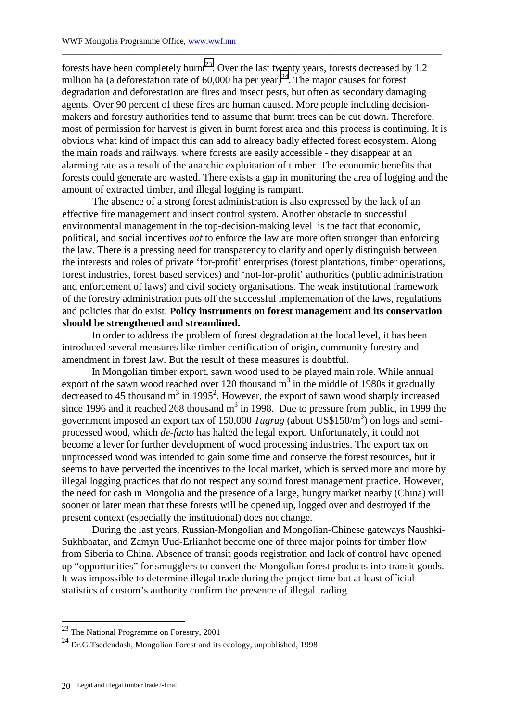forests have been completely burnt<sup>23</sup>. Over the last twenty years, forests decreased by 1.2 million ha (a deforestation rate of  $60,000$  ha per year)<sup>24</sup>. The major causes for forest degradation and deforestation are fires and insect pests, but often as secondary damaging agents. Over 90 percent of these fires are human caused. More people including decisionmakers and forestry authorities tend to assume that burnt trees can be cut down. Therefore, most of permission for harvest is given in burnt forest area and this process is continuing. It is obvious what kind of impact this can add to already badly effected forest ecosystem. Along the main roads and railways, where forests are easily accessible - they disappear at an alarming rate as a result of the anarchic exploitation of timber. The economic benefits that forests could generate are wasted. There exists a gap in monitoring the area of logging and the amount of extracted timber, and illegal logging is rampant.

\_\_\_\_\_\_\_\_\_\_\_\_\_\_\_\_\_\_\_\_\_\_\_\_\_\_\_\_\_\_\_\_\_\_\_\_\_\_\_\_\_\_\_\_\_\_\_\_\_\_\_\_\_\_\_\_\_\_\_\_\_\_\_\_\_\_\_\_\_\_\_\_\_\_\_\_\_\_\_\_\_\_\_\_\_\_\_\_

The absence of a strong forest administration is also expressed by the lack of an effective fire management and insect control system. Another obstacle to successful environmental management in the top-decision-making level is the fact that economic, political, and social incentives *not* to enforce the law are more often stronger than enforcing the law. There is a pressing need for transparency to clarify and openly distinguish between the interests and roles of private 'for-profit' enterprises (forest plantations, timber operations, forest industries, forest based services) and 'not-for-profit' authorities (public administration and enforcement of laws) and civil society organisations. The weak institutional framework of the forestry administration puts off the successful implementation of the laws, regulations and policies that do exist. **Policy instruments on forest management and its conservation should be strengthened and streamlined.** 

In order to address the problem of forest degradation at the local level, it has been introduced several measures like timber certification of origin, community forestry and amendment in forest law. But the result of these measures is doubtful.

In Mongolian timber export, sawn wood used to be played main role. While annual export of the sawn wood reached over 120 thousand  $m<sup>3</sup>$  in the middle of 1980s it gradually decreased to 45 thousand  $m^3$  in 1995<sup>2</sup>. However, the export of sawn wood sharply increased since 1996 and it reached 268 thousand  $m<sup>3</sup>$  in 1998. Due to pressure from public, in 1999 the government imposed an export tax of 150,000 *Tugrug* (about US\$150/m<sup>3</sup> ) on logs and semiprocessed wood, which *de-facto* has halted the legal export. Unfortunately, it could not become a lever for further development of wood processing industries. The export tax on unprocessed wood was intended to gain some time and conserve the forest resources, but it seems to have perverted the incentives to the local market, which is served more and more by illegal logging practices that do not respect any sound forest management practice. However, the need for cash in Mongolia and the presence of a large, hungry market nearby (China) will sooner or later mean that these forests will be opened up, logged over and destroyed if the present context (especially the institutional) does not change.

During the last years, Russian-Mongolian and Mongolian-Chinese gateways Naushki-Sukhbaatar, and Zamyn Uud-Erlianhot become one of three major points for timber flow from Siberia to China. Absence of transit goods registration and lack of control have opened up "opportunities" for smugglers to convert the Mongolian forest products into transit goods. It was impossible to determine illegal trade during the project time but at least official statistics of custom's authority confirm the presence of illegal trading.

l

 $23$  The National Programme on Forestry, 2001

 $^{24}$  Dr.G.Tsedendash, Mongolian Forest and its ecology, unpublished, 1998